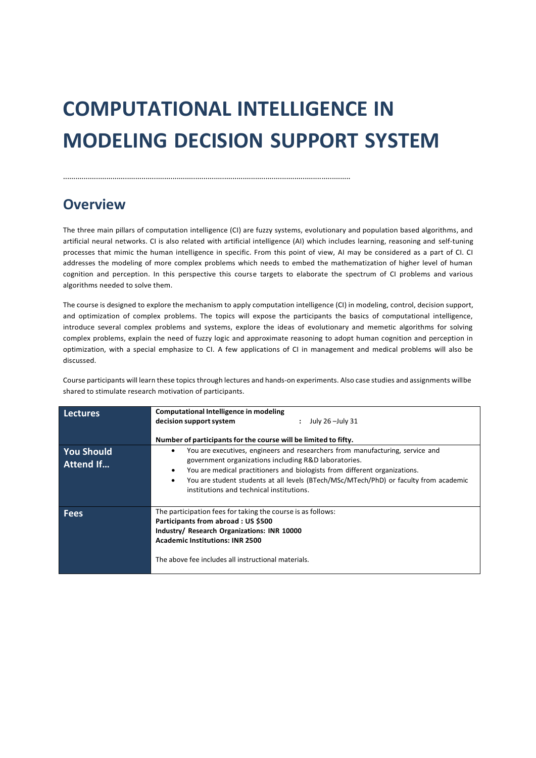# **COMPUTATIONAL INTELLIGENCE IN MODELING DECISION SUPPORT SYSTEM**

#### ...........................................................................................................................................

### **Overview**

The three main pillars of computation intelligence (CI) are fuzzy systems, evolutionary and population based algorithms, and artificial neural networks. CI is also related with artificial intelligence (AI) which includes learning, reasoning and self-tuning processes that mimic the human intelligence in specific. From this point of view, AI may be considered as a part of CI. CI addresses the modeling of more complex problems which needs to embed the mathematization of higher level of human cognition and perception. In this perspective this course targets to elaborate the spectrum of CI problems and various algorithms needed to solve them.

The course is designed to explore the mechanism to apply computation intelligence (CI) in modeling, control, decision support, and optimization of complex problems. The topics will expose the participants the basics of computational intelligence, introduce several complex problems and systems, explore the ideas of evolutionary and memetic algorithms for solving complex problems, explain the need of fuzzy logic and approximate reasoning to adopt human cognition and perception in optimization, with a special emphasize to CI. A few applications of CI in management and medical problems will also be discussed.

Course participants will learn these topics through lectures and hands-on experiments. Also case studies and assignments willbe shared to stimulate research motivation of participants.

| <b>Lectures</b>                       | <b>Computational Intelligence in modeling</b>                                                                                                                                                                                                                                                                                                                 |
|---------------------------------------|---------------------------------------------------------------------------------------------------------------------------------------------------------------------------------------------------------------------------------------------------------------------------------------------------------------------------------------------------------------|
|                                       | decision support system<br>$:$ July 26 - July 31                                                                                                                                                                                                                                                                                                              |
|                                       | Number of participants for the course will be limited to fifty.                                                                                                                                                                                                                                                                                               |
| <b>You Should</b><br><b>Attend If</b> | You are executives, engineers and researchers from manufacturing, service and<br>٠<br>government organizations including R&D laboratories.<br>You are medical practitioners and biologists from different organizations.<br>You are student students at all levels (BTech/MSc/MTech/PhD) or faculty from academic<br>institutions and technical institutions. |
|                                       |                                                                                                                                                                                                                                                                                                                                                               |
| <b>Fees</b>                           | The participation fees for taking the course is as follows:                                                                                                                                                                                                                                                                                                   |
|                                       | Participants from abroad: US \$500                                                                                                                                                                                                                                                                                                                            |
|                                       | Industry/ Research Organizations: INR 10000                                                                                                                                                                                                                                                                                                                   |
|                                       | <b>Academic Institutions: INR 2500</b>                                                                                                                                                                                                                                                                                                                        |
|                                       | The above fee includes all instructional materials.                                                                                                                                                                                                                                                                                                           |